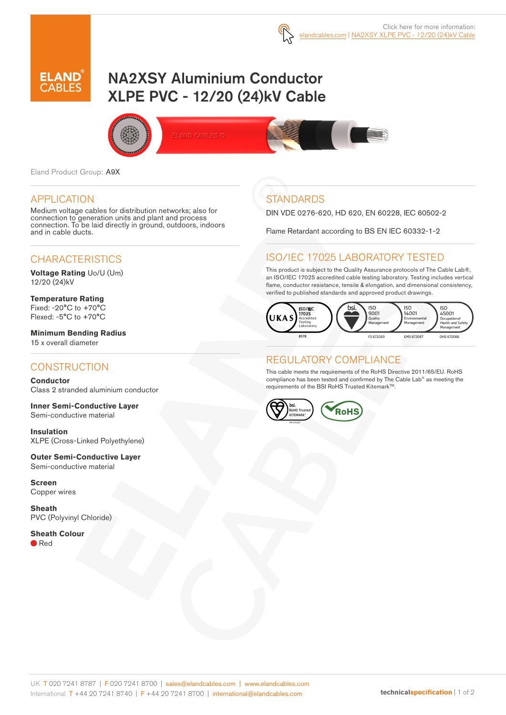

# NA2XSY Aluminium Conductor XLPE PVC - 12/20 (24)kV Cable



Eland Product Group: A9X

#### APPLICATION

Medium voltage cables for distribution networks; also for connection to generation units and plant and process connection. To be laid directly in ground, outdoors, indoors and in cable ducts.

# **CHARACTERISTICS**

**Voltage Rating** Uo/U (Um) 12/20 (24)kV

**Temperature Rating** Fixed: -20°C to +70°C Flexed: -5°C to +70°C

**Minimum Bending Radius**  15 x overall diameter

# **CONSTRUCTION**

**Conductor** Class 2 stranded aluminium conductor

**Inner Semi-Conductive Layer** Semi-conductive material

**Insulation** XLPE (Cross-Linked Polyethylene)

**Outer Semi-Conductive Layer**  Semi-conductive material

**Screen** Copper wires

**Sheath** PVC (Polyvinyl Chloride)

**Sheath Colour** ● Red

# **STANDARDS**

DIN VDE 0276-620, HD 620, EN 60228, IEC 60502-2

Flame Retardant according to BS EN IEC 60332-1-2

### ISO/IEC 17025 LABORATORY TESTED

This product is subject to the Quality Assurance protocols of The Cable Lab®, an ISO/IEC 17025 accredited cable testing laboratory. Testing includes vertical flame, conductor resistance, tensile & elongation, and dimensional consistency, verified to published standards and approved product drawings.



### REGULATORY COMPLIANCE

This cable meets the requirements of the RoHS Directive 2011/65/EU. RoHS compliance has been tested and confirmed by The Cable Lab® as meeting the requirements of the BSI RoHS Trusted Kitemark™